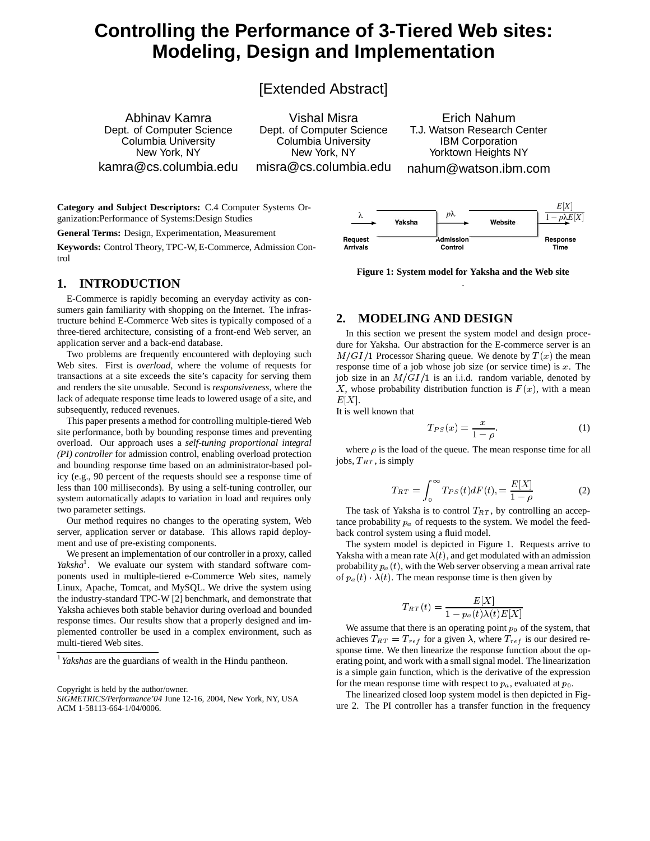# **Controlling the Performance of 3-Tiered Web sites: Modeling, Design and Implementation**

[Extended Abstract]

Abhinav Kamra Dept. of Computer Science Columbia University New York, NY kamra@cs.columbia.edu

Vishal Misra Dept. of Computer Science Columbia University New York, NY misra@cs.columbia.edu

Erich Nahum T.J. Watson Research Center IBM Corporation Yorktown Heights NY nahum@watson.ibm.com

**Category and Subject Descriptors:** C.4 Computer Systems Organization:Performance of Systems:Design Studies

**General Terms:** Design, Experimentation, Measurement

**Keywords:** Control Theory, TPC-W, E-Commerce, Admission Control

#### **1. INTRODUCTION**

E-Commerce is rapidly becoming an everyday activity as consumers gain familiarity with shopping on the Internet. The infrastructure behind E-Commerce Web sites is typically composed of a three-tiered architecture, consisting of a front-end Web server, an application server and a back-end database.

Two problems are frequently encountered with deploying such Web sites. First is *overload*, where the volume of requests for transactions at a site exceeds the site's capacity for serving them and renders the site unusable. Second is *responsiveness*, where the lack of adequate response time leads to lowered usage of a site, and subsequently, reduced revenues.

This paper presents a method for controlling multiple-tiered Web site performance, both by bounding response times and preventing overload. Our approach uses a *self-tuning proportional integral (PI) controller* for admission control, enabling overload protection and bounding response time based on an administrator-based policy (e.g., 90 percent of the requests should see a response time of less than 100 milliseconds). By using a self-tuning controller, our system automatically adapts to variation in load and requires only two parameter settings.

Our method requires no changes to the operating system, Web server, application server or database. This allows rapid deployment and use of pre-existing components.

We present an implementation of our controller in a proxy, called Yaksha<sup>1</sup>. We evaluate our system with standard software components used in multiple-tiered e-Commerce Web sites, namely Linux, Apache, Tomcat, and MySQL. We drive the system using the industry-standard TPC-W [2] benchmark, and demonstrate that Yaksha achieves both stable behavior during overload and bounded response times. Our results show that a properly designed and implemented controller be used in a complex environment, such as multi-tiered Web sites.

Copyright is held by the author/owner.



**Figure 1: System model for Yaksha and the Web site** .

### **2. MODELING AND DESIGN**

In this section we present the system model and design procedure for Yaksha. Our abstraction for the E-commerce server is an  $M/GI/1$  Processor Sharing queue. We denote by  $T(x)$  the mean response time of a job whose job size (or service time) is  $x$ . The job size in an  $M/GI/1$  is an i.i.d. random variable, denoted by X, whose probability distribution function is  $F(x)$ , with a mean  $E[X]$ .

It is well known that

$$
T_{PS}(x) = \frac{x}{1 - \rho}.\tag{1}
$$

where  $\rho$  is the load of the queue. The mean response time for all jobs,  $T_{RT}$ , is simply

$$
T_{RT} = \int_0^\infty T_{PS}(t) dF(t) = \frac{E[X]}{1 - \rho}
$$
 (2)

The task of Yaksha is to control  $T_{RT}$ , by controlling an acceptance probability  $p_a$  of requests to the system. We model the feedback control system using a fluid model.

The system model is depicted in Figure 1. Requests arrive to Yaksha with a mean rate  $\lambda(t)$ , and get modulated with an admission probability  $p_a(t)$ , with the Web server observing a mean arrival rate of  $p_a(t)$   $\lambda(t)$ . The mean response time is then given by

$$
T_{RT}(t) = \frac{E[X]}{1 - p_a(t)\lambda(t)E[X]}
$$

We assume that there is an operating point  $p_0$  of the system, that achieves  $T_{RT} = T_{ref}$  for a given  $\lambda$ , where  $T_{ref}$  is our desired response time. We then linearize the response function about the operating point, and work with a small signal model. The linearization is a simple gain function, which is the derivative of the expression for the mean response time with respect to  $p_a$ , evaluated at  $p_0$ .

The linearized closed loop system model is then depicted in Figure 2. The PI controller has a transfer function in the frequency

*Yakshas* are the guardians of wealth in the Hindu pantheon.

*SIGMETRICS/Performance'04* June 12-16, 2004, New York, NY, USA ACM 1-58113-664-1/04/0006.